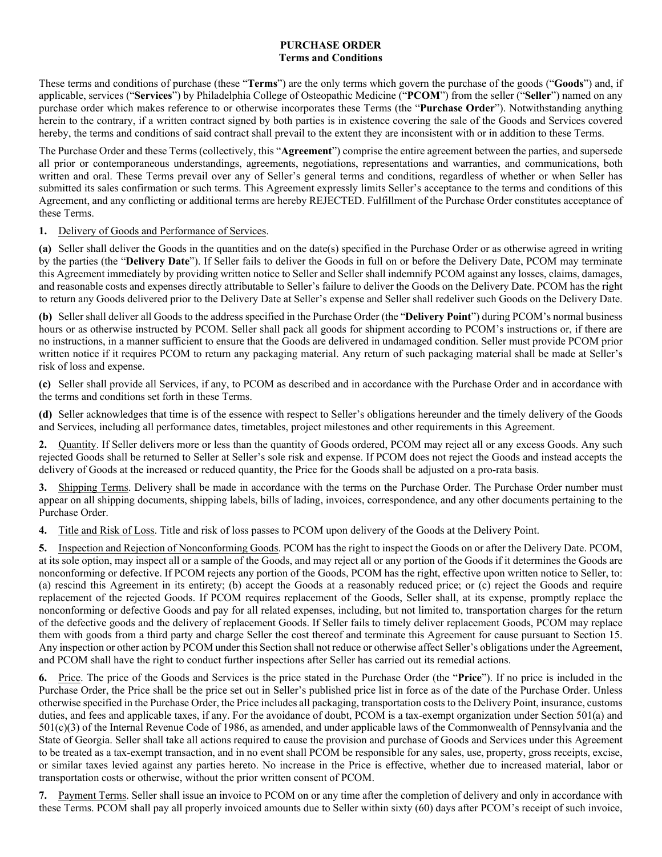#### **PURCHASE ORDER Terms and Conditions**

These terms and conditions of purchase (these "**Terms**") are the only terms which govern the purchase of the goods ("**Goods**") and, if applicable, services ("**Services**") by Philadelphia College of Osteopathic Medicine ("**PCOM**") from the seller ("**Seller**") named on any purchase order which makes reference to or otherwise incorporates these Terms (the "**Purchase Order**"). Notwithstanding anything herein to the contrary, if a written contract signed by both parties is in existence covering the sale of the Goods and Services covered hereby, the terms and conditions of said contract shall prevail to the extent they are inconsistent with or in addition to these Terms.

The Purchase Order and these Terms (collectively, this "**Agreement**") comprise the entire agreement between the parties, and supersede all prior or contemporaneous understandings, agreements, negotiations, representations and warranties, and communications, both written and oral. These Terms prevail over any of Seller's general terms and conditions, regardless of whether or when Seller has submitted its sales confirmation or such terms. This Agreement expressly limits Seller's acceptance to the terms and conditions of this Agreement, and any conflicting or additional terms are hereby REJECTED. Fulfillment of the Purchase Order constitutes acceptance of these Terms.

# **1.** Delivery of Goods and Performance of Services.

**(a)** Seller shall deliver the Goods in the quantities and on the date(s) specified in the Purchase Order or as otherwise agreed in writing by the parties (the "**Delivery Date**"). If Seller fails to deliver the Goods in full on or before the Delivery Date, PCOM may terminate this Agreement immediately by providing written notice to Seller and Seller shall indemnify PCOM against any losses, claims, damages, and reasonable costs and expenses directly attributable to Seller's failure to deliver the Goods on the Delivery Date. PCOM has the right to return any Goods delivered prior to the Delivery Date at Seller's expense and Seller shall redeliver such Goods on the Delivery Date.

**(b)** Seller shall deliver all Goods to the address specified in the Purchase Order (the "**Delivery Point**") during PCOM's normal business hours or as otherwise instructed by PCOM. Seller shall pack all goods for shipment according to PCOM's instructions or, if there are no instructions, in a manner sufficient to ensure that the Goods are delivered in undamaged condition. Seller must provide PCOM prior written notice if it requires PCOM to return any packaging material. Any return of such packaging material shall be made at Seller's risk of loss and expense.

**(c)** Seller shall provide all Services, if any, to PCOM as described and in accordance with the Purchase Order and in accordance with the terms and conditions set forth in these Terms.

**(d)** Seller acknowledges that time is of the essence with respect to Seller's obligations hereunder and the timely delivery of the Goods and Services, including all performance dates, timetables, project milestones and other requirements in this Agreement.

**2.** Quantity. If Seller delivers more or less than the quantity of Goods ordered, PCOM may reject all or any excess Goods. Any such rejected Goods shall be returned to Seller at Seller's sole risk and expense. If PCOM does not reject the Goods and instead accepts the delivery of Goods at the increased or reduced quantity, the Price for the Goods shall be adjusted on a pro-rata basis.

**3.** Shipping Terms. Delivery shall be made in accordance with the terms on the Purchase Order. The Purchase Order number must appear on all shipping documents, shipping labels, bills of lading, invoices, correspondence, and any other documents pertaining to the Purchase Order.

**4.** Title and Risk of Loss. Title and risk of loss passes to PCOM upon delivery of the Goods at the Delivery Point.

**5.** Inspection and Rejection of Nonconforming Goods. PCOM has the right to inspect the Goods on or after the Delivery Date. PCOM, at its sole option, may inspect all or a sample of the Goods, and may reject all or any portion of the Goods if it determines the Goods are nonconforming or defective. If PCOM rejects any portion of the Goods, PCOM has the right, effective upon written notice to Seller, to: (a) rescind this Agreement in its entirety; (b) accept the Goods at a reasonably reduced price; or (c) reject the Goods and require replacement of the rejected Goods. If PCOM requires replacement of the Goods, Seller shall, at its expense, promptly replace the nonconforming or defective Goods and pay for all related expenses, including, but not limited to, transportation charges for the return of the defective goods and the delivery of replacement Goods. If Seller fails to timely deliver replacement Goods, PCOM may replace them with goods from a third party and charge Seller the cost thereof and terminate this Agreement for cause pursuant to Section 15. Any inspection or other action by PCOM under this Section shall not reduce or otherwise affect Seller's obligations under the Agreement, and PCOM shall have the right to conduct further inspections after Seller has carried out its remedial actions.

**6.** Price. The price of the Goods and Services is the price stated in the Purchase Order (the "**Price**"). If no price is included in the Purchase Order, the Price shall be the price set out in Seller's published price list in force as of the date of the Purchase Order. Unless otherwise specified in the Purchase Order, the Price includes all packaging, transportation costs to the Delivery Point, insurance, customs duties, and fees and applicable taxes, if any. For the avoidance of doubt, PCOM is a tax-exempt organization under Section 501(a) and 501(c)(3) of the Internal Revenue Code of 1986, as amended, and under applicable laws of the Commonwealth of Pennsylvania and the State of Georgia. Seller shall take all actions required to cause the provision and purchase of Goods and Services under this Agreement to be treated as a tax-exempt transaction, and in no event shall PCOM be responsible for any sales, use, property, gross receipts, excise, or similar taxes levied against any parties hereto. No increase in the Price is effective, whether due to increased material, labor or transportation costs or otherwise, without the prior written consent of PCOM.

**7.** Payment Terms. Seller shall issue an invoice to PCOM on or any time after the completion of delivery and only in accordance with these Terms. PCOM shall pay all properly invoiced amounts due to Seller within sixty (60) days after PCOM's receipt of such invoice,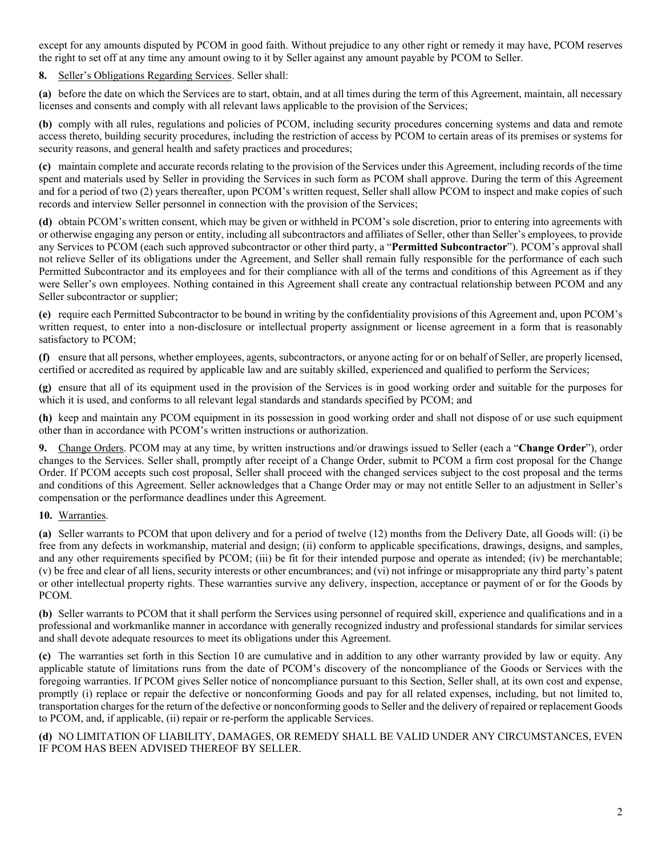except for any amounts disputed by PCOM in good faith. Without prejudice to any other right or remedy it may have, PCOM reserves the right to set off at any time any amount owing to it by Seller against any amount payable by PCOM to Seller.

# **8.** Seller's Obligations Regarding Services. Seller shall:

**(a)** before the date on which the Services are to start, obtain, and at all times during the term of this Agreement, maintain, all necessary licenses and consents and comply with all relevant laws applicable to the provision of the Services;

**(b)** comply with all rules, regulations and policies of PCOM, including security procedures concerning systems and data and remote access thereto, building security procedures, including the restriction of access by PCOM to certain areas of its premises or systems for security reasons, and general health and safety practices and procedures;

**(c)** maintain complete and accurate records relating to the provision of the Services under this Agreement, including records of the time spent and materials used by Seller in providing the Services in such form as PCOM shall approve. During the term of this Agreement and for a period of two (2) years thereafter, upon PCOM's written request, Seller shall allow PCOM to inspect and make copies of such records and interview Seller personnel in connection with the provision of the Services;

**(d)** obtain PCOM's written consent, which may be given or withheld in PCOM's sole discretion, prior to entering into agreements with or otherwise engaging any person or entity, including all subcontractors and affiliates of Seller, other than Seller's employees, to provide any Services to PCOM (each such approved subcontractor or other third party, a "**Permitted Subcontractor**"). PCOM's approval shall not relieve Seller of its obligations under the Agreement, and Seller shall remain fully responsible for the performance of each such Permitted Subcontractor and its employees and for their compliance with all of the terms and conditions of this Agreement as if they were Seller's own employees. Nothing contained in this Agreement shall create any contractual relationship between PCOM and any Seller subcontractor or supplier;

**(e)** require each Permitted Subcontractor to be bound in writing by the confidentiality provisions of this Agreement and, upon PCOM's written request, to enter into a non-disclosure or intellectual property assignment or license agreement in a form that is reasonably satisfactory to PCOM;

**(f)** ensure that all persons, whether employees, agents, subcontractors, or anyone acting for or on behalf of Seller, are properly licensed, certified or accredited as required by applicable law and are suitably skilled, experienced and qualified to perform the Services;

**(g)** ensure that all of its equipment used in the provision of the Services is in good working order and suitable for the purposes for which it is used, and conforms to all relevant legal standards and standards specified by PCOM; and

**(h)** keep and maintain any PCOM equipment in its possession in good working order and shall not dispose of or use such equipment other than in accordance with PCOM's written instructions or authorization.

**9.** Change Orders. PCOM may at any time, by written instructions and/or drawings issued to Seller (each a "**Change Order**"), order changes to the Services. Seller shall, promptly after receipt of a Change Order, submit to PCOM a firm cost proposal for the Change Order. If PCOM accepts such cost proposal, Seller shall proceed with the changed services subject to the cost proposal and the terms and conditions of this Agreement. Seller acknowledges that a Change Order may or may not entitle Seller to an adjustment in Seller's compensation or the performance deadlines under this Agreement.

#### **10.** Warranties.

**(a)** Seller warrants to PCOM that upon delivery and for a period of twelve (12) months from the Delivery Date, all Goods will: (i) be free from any defects in workmanship, material and design; (ii) conform to applicable specifications, drawings, designs, and samples, and any other requirements specified by PCOM; (iii) be fit for their intended purpose and operate as intended; (iv) be merchantable; (v) be free and clear of all liens, security interests or other encumbrances; and (vi) not infringe or misappropriate any third party's patent or other intellectual property rights. These warranties survive any delivery, inspection, acceptance or payment of or for the Goods by PCOM.

**(b)** Seller warrants to PCOM that it shall perform the Services using personnel of required skill, experience and qualifications and in a professional and workmanlike manner in accordance with generally recognized industry and professional standards for similar services and shall devote adequate resources to meet its obligations under this Agreement.

**(c)** The warranties set forth in this Section 10 are cumulative and in addition to any other warranty provided by law or equity. Any applicable statute of limitations runs from the date of PCOM's discovery of the noncompliance of the Goods or Services with the foregoing warranties. If PCOM gives Seller notice of noncompliance pursuant to this Section, Seller shall, at its own cost and expense, promptly (i) replace or repair the defective or nonconforming Goods and pay for all related expenses, including, but not limited to, transportation charges for the return of the defective or nonconforming goods to Seller and the delivery of repaired or replacement Goods to PCOM, and, if applicable, (ii) repair or re-perform the applicable Services.

**(d)** NO LIMITATION OF LIABILITY, DAMAGES, OR REMEDY SHALL BE VALID UNDER ANY CIRCUMSTANCES, EVEN IF PCOM HAS BEEN ADVISED THEREOF BY SELLER.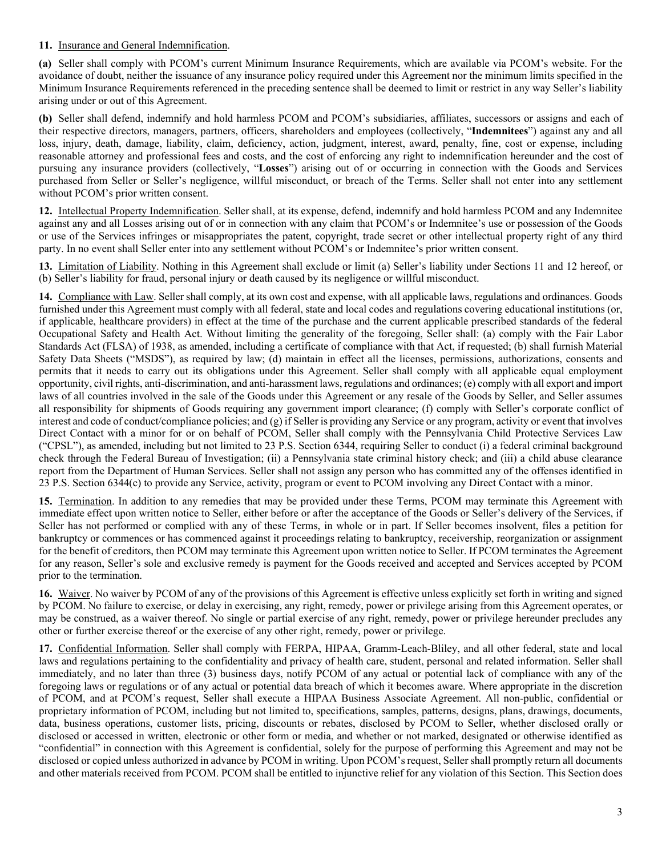# **11.** Insurance and General Indemnification.

**(a)** Seller shall comply with PCOM's current Minimum Insurance Requirements, which are available via PCOM's website. For the avoidance of doubt, neither the issuance of any insurance policy required under this Agreement nor the minimum limits specified in the Minimum Insurance Requirements referenced in the preceding sentence shall be deemed to limit or restrict in any way Seller's liability arising under or out of this Agreement.

**(b)** Seller shall defend, indemnify and hold harmless PCOM and PCOM's subsidiaries, affiliates, successors or assigns and each of their respective directors, managers, partners, officers, shareholders and employees (collectively, "**Indemnitees**") against any and all loss, injury, death, damage, liability, claim, deficiency, action, judgment, interest, award, penalty, fine, cost or expense, including reasonable attorney and professional fees and costs, and the cost of enforcing any right to indemnification hereunder and the cost of pursuing any insurance providers (collectively, "**Losses**") arising out of or occurring in connection with the Goods and Services purchased from Seller or Seller's negligence, willful misconduct, or breach of the Terms. Seller shall not enter into any settlement without PCOM's prior written consent.

**12.** Intellectual Property Indemnification. Seller shall, at its expense, defend, indemnify and hold harmless PCOM and any Indemnitee against any and all Losses arising out of or in connection with any claim that PCOM's or Indemnitee's use or possession of the Goods or use of the Services infringes or misappropriates the patent, copyright, trade secret or other intellectual property right of any third party. In no event shall Seller enter into any settlement without PCOM's or Indemnitee's prior written consent.

**13.** Limitation of Liability. Nothing in this Agreement shall exclude or limit (a) Seller's liability under Sections 11 and 12 hereof, or (b) Seller's liability for fraud, personal injury or death caused by its negligence or willful misconduct.

**14.** Compliance with Law. Seller shall comply, at its own cost and expense, with all applicable laws, regulations and ordinances. Goods furnished under this Agreement must comply with all federal, state and local codes and regulations covering educational institutions (or, if applicable, healthcare providers) in effect at the time of the purchase and the current applicable prescribed standards of the federal Occupational Safety and Health Act. Without limiting the generality of the foregoing, Seller shall: (a) comply with the Fair Labor Standards Act (FLSA) of 1938, as amended, including a certificate of compliance with that Act, if requested; (b) shall furnish Material Safety Data Sheets ("MSDS"), as required by law; (d) maintain in effect all the licenses, permissions, authorizations, consents and permits that it needs to carry out its obligations under this Agreement. Seller shall comply with all applicable equal employment opportunity, civil rights, anti-discrimination, and anti-harassment laws, regulations and ordinances; (e) comply with all export and import laws of all countries involved in the sale of the Goods under this Agreement or any resale of the Goods by Seller, and Seller assumes all responsibility for shipments of Goods requiring any government import clearance; (f) comply with Seller's corporate conflict of interest and code of conduct/compliance policies; and (g) if Seller is providing any Service or any program, activity or event that involves Direct Contact with a minor for or on behalf of PCOM, Seller shall comply with the Pennsylvania Child Protective Services Law ("CPSL"), as amended, including but not limited to 23 P.S. Section 6344, requiring Seller to conduct (i) a federal criminal background check through the Federal Bureau of Investigation; (ii) a Pennsylvania state criminal history check; and (iii) a child abuse clearance report from the Department of Human Services. Seller shall not assign any person who has committed any of the offenses identified in 23 P.S. Section 6344(c) to provide any Service, activity, program or event to PCOM involving any Direct Contact with a minor.

**15.** Termination. In addition to any remedies that may be provided under these Terms, PCOM may terminate this Agreement with immediate effect upon written notice to Seller, either before or after the acceptance of the Goods or Seller's delivery of the Services, if Seller has not performed or complied with any of these Terms, in whole or in part. If Seller becomes insolvent, files a petition for bankruptcy or commences or has commenced against it proceedings relating to bankruptcy, receivership, reorganization or assignment for the benefit of creditors, then PCOM may terminate this Agreement upon written notice to Seller. If PCOM terminates the Agreement for any reason, Seller's sole and exclusive remedy is payment for the Goods received and accepted and Services accepted by PCOM prior to the termination.

**16.** Waiver. No waiver by PCOM of any of the provisions of this Agreement is effective unless explicitly set forth in writing and signed by PCOM. No failure to exercise, or delay in exercising, any right, remedy, power or privilege arising from this Agreement operates, or may be construed, as a waiver thereof. No single or partial exercise of any right, remedy, power or privilege hereunder precludes any other or further exercise thereof or the exercise of any other right, remedy, power or privilege.

**17.** Confidential Information. Seller shall comply with FERPA, HIPAA, Gramm-Leach-Bliley, and all other federal, state and local laws and regulations pertaining to the confidentiality and privacy of health care, student, personal and related information. Seller shall immediately, and no later than three (3) business days, notify PCOM of any actual or potential lack of compliance with any of the foregoing laws or regulations or of any actual or potential data breach of which it becomes aware. Where appropriate in the discretion of PCOM, and at PCOM's request, Seller shall execute a HIPAA Business Associate Agreement. All non-public, confidential or proprietary information of PCOM, including but not limited to, specifications, samples, patterns, designs, plans, drawings, documents, data, business operations, customer lists, pricing, discounts or rebates, disclosed by PCOM to Seller, whether disclosed orally or disclosed or accessed in written, electronic or other form or media, and whether or not marked, designated or otherwise identified as "confidential" in connection with this Agreement is confidential, solely for the purpose of performing this Agreement and may not be disclosed or copied unless authorized in advance by PCOM in writing. Upon PCOM's request, Seller shall promptly return all documents and other materials received from PCOM. PCOM shall be entitled to injunctive relief for any violation of this Section. This Section does